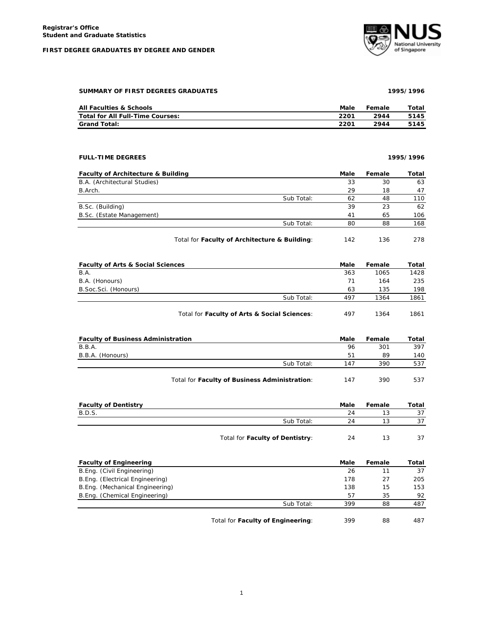## **FIRST DEGREE GRADUATES BY DEGREE AND GENDER**



|      |      | Total  |
|------|------|--------|
| 2201 | 2944 | 5145   |
| 2201 | 2944 | 5145   |
|      |      |        |
|      |      |        |
|      | Male | Female |

| <b>Faculty of Architecture &amp; Building</b> |                                               | Male | Female | Total |
|-----------------------------------------------|-----------------------------------------------|------|--------|-------|
| B.A. (Architectural Studies)                  |                                               | 33   | 30     | 63    |
| B.Arch.                                       |                                               | 29   | 18     | 47    |
|                                               | Sub Total:                                    | 62   | 48     | 110   |
| B.Sc. (Building)                              |                                               | 39   | 23     | 62    |
| B.Sc. (Estate Management)                     |                                               | 41   | 65     | 106   |
|                                               | Sub Total:                                    | 80   | 88     | 168   |
|                                               | Total for Faculty of Architecture & Building: | 142  | 136    | 278   |

| <b>Faculty of Arts &amp; Social Sciences</b> |                                              | Male | Female | Total |
|----------------------------------------------|----------------------------------------------|------|--------|-------|
| B.A.                                         |                                              | 363  | 1065   | 1428  |
| B.A. (Honours)                               |                                              | 71   | 164    | 235   |
| B. Soc. Sci. (Honours)                       |                                              | 63   | 135    | 198   |
|                                              | Sub Total:                                   | 497  | 1364   | 1861  |
|                                              | Total for Faculty of Arts & Social Sciences: | 497  | 1364   | 1861  |

| <b>Faculty of Business Administration</b>     | Male | Female | Total |
|-----------------------------------------------|------|--------|-------|
| B.B.A.                                        | 96   | 301    | 397   |
| B.B.A. (Honours)                              | 51   | 89     | 140   |
| Sub Total:                                    | 147  | 390    | 537   |
| Total for Faculty of Business Administration: | 147  | 390    | 537   |

| <b>Faculty of Dentistry</b> |                                 | Male | Female | Total |
|-----------------------------|---------------------------------|------|--------|-------|
| B.D.S.                      |                                 | 24   | 13     |       |
|                             | Sub Total:                      | 24   | 13     |       |
|                             | Total for Faculty of Dentistry: | 24   | 13     |       |

| <b>Faculty of Engineering</b>   |                                   | Male | Female | Total |
|---------------------------------|-----------------------------------|------|--------|-------|
| B.Eng. (Civil Engineering)      |                                   | 26   |        | 37    |
| B.Eng. (Electrical Engineering) |                                   | 178  | 27     | 205   |
| B.Eng. (Mechanical Engineering) |                                   | 138  | 15     | 153   |
| B.Eng. (Chemical Engineering)   |                                   | 57   | 35     | 92    |
|                                 | Sub Total:                        | 399  | 88     | 487   |
|                                 | Total for Faculty of Engineering: | 399  | 88     | 487   |